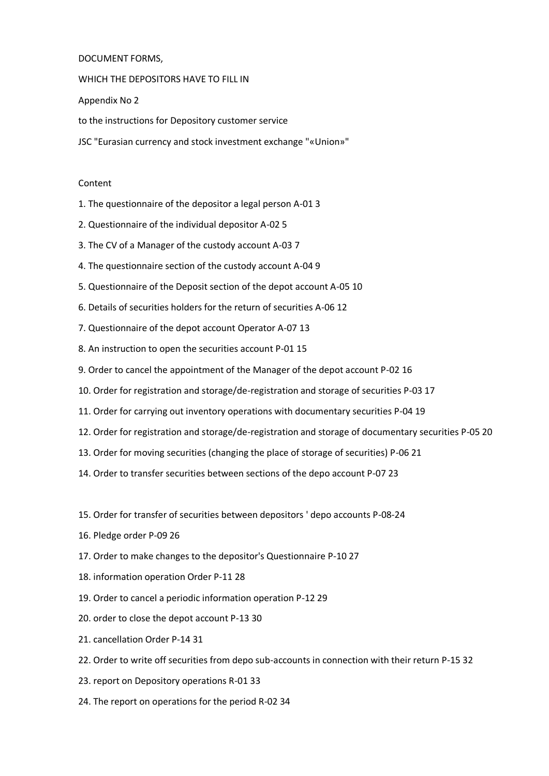# DOCUMENT FORMS,

WHICH THE DEPOSITORS HAVE TO FILL IN

Appendix No 2

to the instructions for Depository customer service

JSC "Eurasian currency and stock investment exchange "«Union»"

## Content

- 1. The questionnaire of the depositor a legal person A-01 3
- 2. Questionnaire of the individual depositor A-02 5
- 3. The CV of a Manager of the custody account A-03 7
- 4. The questionnaire section of the custody account A-04 9
- 5. Questionnaire of the Deposit section of the depot account A-05 10
- 6. Details of securities holders for the return of securities A-06 12
- 7. Questionnaire of the depot account Operator A-07 13
- 8. An instruction to open the securities account P-01 15
- 9. Order to cancel the appointment of the Manager of the depot account P-02 16
- 10. Order for registration and storage/de-registration and storage of securities P-03 17
- 11. Order for carrying out inventory operations with documentary securities P-04 19
- 12. Order for registration and storage/de-registration and storage of documentary securities P-05 20
- 13. Order for moving securities (changing the place of storage of securities) P-06 21
- 14. Order to transfer securities between sections of the depo account P-07 23
- 15. Order for transfer of securities between depositors ' depo accounts P-08-24
- 16. Pledge order P-09 26
- 17. Order to make changes to the depositor's Questionnaire P-10 27
- 18. information operation Order P-11 28
- 19. Order to cancel a periodic information operation P-12 29
- 20. order to close the depot account P-13 30
- 21. cancellation Order P-14 31
- 22. Order to write off securities from depo sub-accounts in connection with their return P-15 32
- 23. report on Depository operations R-01 33
- 24. The report on operations for the period R-02 34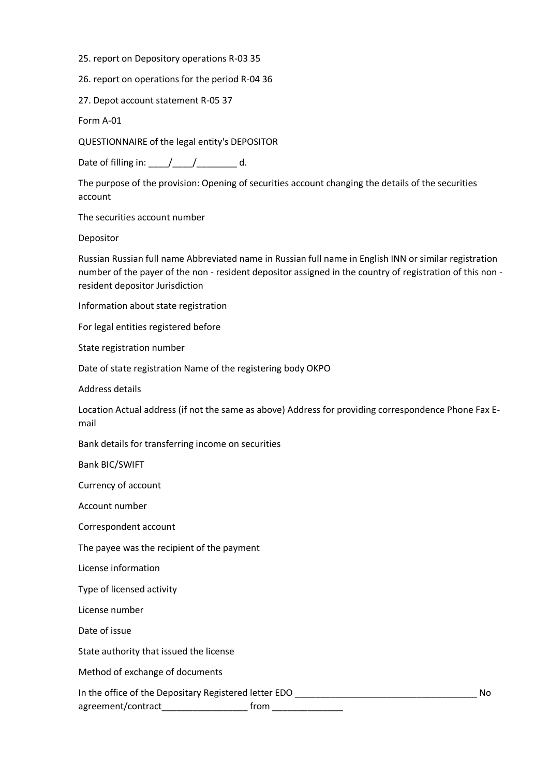- 25. report on Depository operations R-03 35
- 26. report on operations for the period R-04 36
- 27. Depot account statement R-05 37

Form A-01

QUESTIONNAIRE of the legal entity's DEPOSITOR

Date of filling in:  $\frac{1}{2}$   $\frac{1}{2}$   $\frac{1}{2}$  d.

The purpose of the provision: Opening of securities account changing the details of the securities account

The securities account number

Depositor

Russian Russian full name Abbreviated name in Russian full name in English INN or similar registration number of the payer of the non - resident depositor assigned in the country of registration of this non resident depositor Jurisdiction

Information about state registration

For legal entities registered before

State registration number

Date of state registration Name of the registering body OKPO

Address details

Location Actual address (if not the same as above) Address for providing correspondence Phone Fax Email

Bank details for transferring income on securities

Bank BIC/SWIFT

Currency of account

Account number

Correspondent account

The payee was the recipient of the payment

License information

Type of licensed activity

License number

Date of issue

State authority that issued the license

Method of exchange of documents

In the office of the Depositary Registered letter EDO **with a set of the Depositary Registered** letter EDO

agreement/contract\_\_\_\_\_\_\_\_\_\_\_\_\_\_\_\_\_\_\_\_\_\_\_\_ from \_\_\_\_\_\_\_\_\_\_\_\_\_\_\_\_\_\_\_\_\_\_\_\_\_\_\_\_\_\_\_\_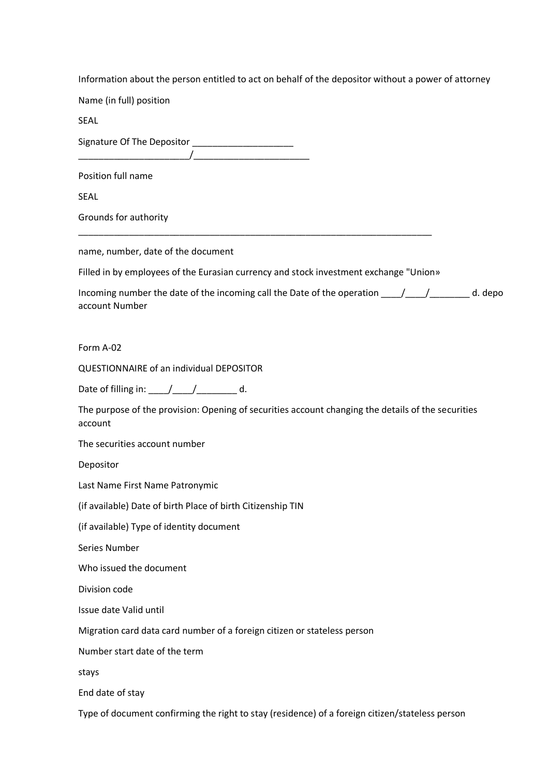| Information about the person entitled to act on behalf of the depositor without a power of attorney |  |  |
|-----------------------------------------------------------------------------------------------------|--|--|
|                                                                                                     |  |  |

Name (in full) position

SEAL

Signature Of The Depositor \_\_\_\_\_\_\_\_\_\_\_\_\_\_\_\_\_\_\_\_  $\overline{\phantom{a} \phantom{a}}$   $\overline{\phantom{a} \phantom{a} \phantom{a} \phantom{a} }$ 

Position full name

SEAL

Grounds for authority

name, number, date of the document

Filled in by employees of the Eurasian currency and stock investment exchange "Union»

\_\_\_\_\_\_\_\_\_\_\_\_\_\_\_\_\_\_\_\_\_\_\_\_\_\_\_\_\_\_\_\_\_\_\_\_\_\_\_\_\_\_\_\_\_\_\_\_\_\_\_\_\_\_\_\_\_\_\_\_\_\_\_\_\_\_\_\_\_\_

| Incoming number the date of the incoming call the Date of the operation $\left/$ | d. depo |
|----------------------------------------------------------------------------------|---------|
| account Number                                                                   |         |

Form A-02

QUESTIONNAIRE of an individual DEPOSITOR

Date of filling in:  $\underline{\qquad \qquad }$ 

The purpose of the provision: Opening of securities account changing the details of the securities account

The securities account number

Depositor

Last Name First Name Patronymic

(if available) Date of birth Place of birth Citizenship TIN

(if available) Type of identity document

Series Number

Who issued the document

Division code

Issue date Valid until

Migration card data card number of a foreign citizen or stateless person

Number start date of the term

stays

End date of stay

Type of document confirming the right to stay (residence) of a foreign citizen/stateless person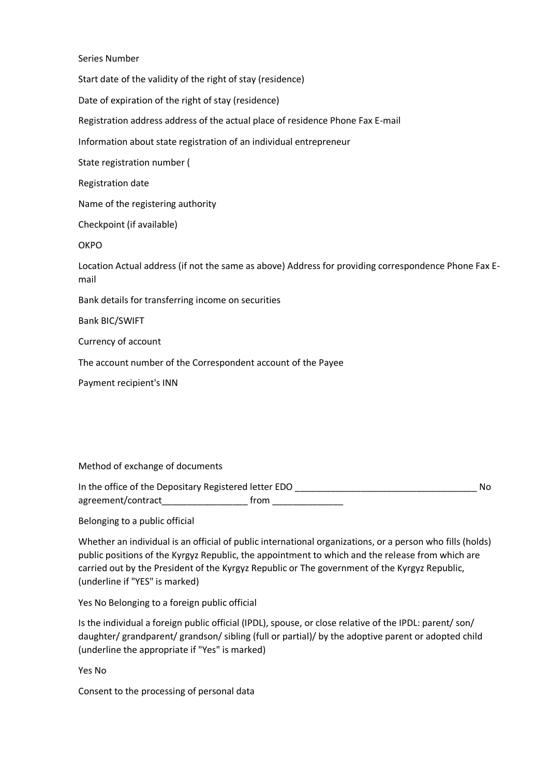Series Number

Start date of the validity of the right of stay (residence)

Date of expiration of the right of stay (residence)

Registration address address of the actual place of residence Phone Fax E-mail

Information about state registration of an individual entrepreneur

State registration number (

Registration date

Name of the registering authority

Checkpoint (if available)

**OKPO** 

Location Actual address (if not the same as above) Address for providing correspondence Phone Fax Email

Bank details for transferring income on securities

Bank BIC/SWIFT

Currency of account

The account number of the Correspondent account of the Payee

Payment recipient's INN

Method of exchange of documents

In the office of the Depositary Registered letter EDO \_\_\_\_\_\_\_\_\_\_\_\_\_\_\_\_\_\_\_\_\_\_\_\_\_\_\_\_\_\_\_\_\_\_\_\_ No agreement/contract\_\_\_\_\_\_\_\_\_\_\_\_\_\_\_\_\_\_\_\_\_\_\_\_\_ from \_\_\_\_\_\_\_\_\_\_\_\_\_\_\_\_\_\_\_\_\_\_\_\_\_\_\_\_\_\_\_

Belonging to a public official

Whether an individual is an official of public international organizations, or a person who fills (holds) public positions of the Kyrgyz Republic, the appointment to which and the release from which are carried out by the President of the Kyrgyz Republic or The government of the Kyrgyz Republic, (underline if "YES" is marked)

Yes No Belonging to a foreign public official

Is the individual a foreign public official (IPDL), spouse, or close relative of the IPDL: parent/ son/ daughter/ grandparent/ grandson/ sibling (full or partial)/ by the adoptive parent or adopted child (underline the appropriate if "Yes" is marked)

Yes No

Consent to the processing of personal data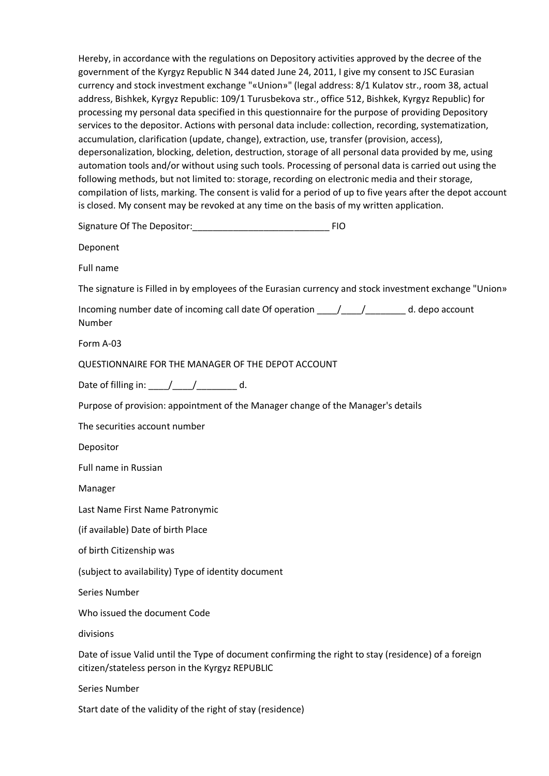Hereby, in accordance with the regulations on Depository activities approved by the decree of the government of the Kyrgyz Republic N 344 dated June 24, 2011, I give my consent to JSC Eurasian currency and stock investment exchange "«Union»" (legal address: 8/1 Kulatov str., room 38, actual address, Bishkek, Kyrgyz Republic: 109/1 Turusbekova str., office 512, Bishkek, Kyrgyz Republic) for processing my personal data specified in this questionnaire for the purpose of providing Depository services to the depositor. Actions with personal data include: collection, recording, systematization, accumulation, clarification (update, change), extraction, use, transfer (provision, access), depersonalization, blocking, deletion, destruction, storage of all personal data provided by me, using automation tools and/or without using such tools. Processing of personal data is carried out using the following methods, but not limited to: storage, recording on electronic media and their storage, compilation of lists, marking. The consent is valid for a period of up to five years after the depot account is closed. My consent may be revoked at any time on the basis of my written application.

Signature Of The Depositor:\_\_\_\_\_\_\_\_\_\_\_\_\_\_\_\_\_\_\_\_\_\_\_\_\_\_\_ FIO

Deponent

Full name

The signature is Filled in by employees of the Eurasian currency and stock investment exchange "Union»

Incoming number date of incoming call date Of operation  $\frac{1}{2}$  /  $\frac{1}{2}$  d. depo account Number

Form A-03

QUESTIONNAIRE FOR THE MANAGER OF THE DEPOT ACCOUNT

Date of filling in:  $\underline{\qquad \qquad }$ 

Purpose of provision: appointment of the Manager change of the Manager's details

The securities account number

Depositor

Full name in Russian

Manager

Last Name First Name Patronymic

(if available) Date of birth Place

of birth Citizenship was

(subject to availability) Type of identity document

Series Number

Who issued the document Code

divisions

Date of issue Valid until the Type of document confirming the right to stay (residence) of a foreign citizen/stateless person in the Kyrgyz REPUBLIC

Series Number

Start date of the validity of the right of stay (residence)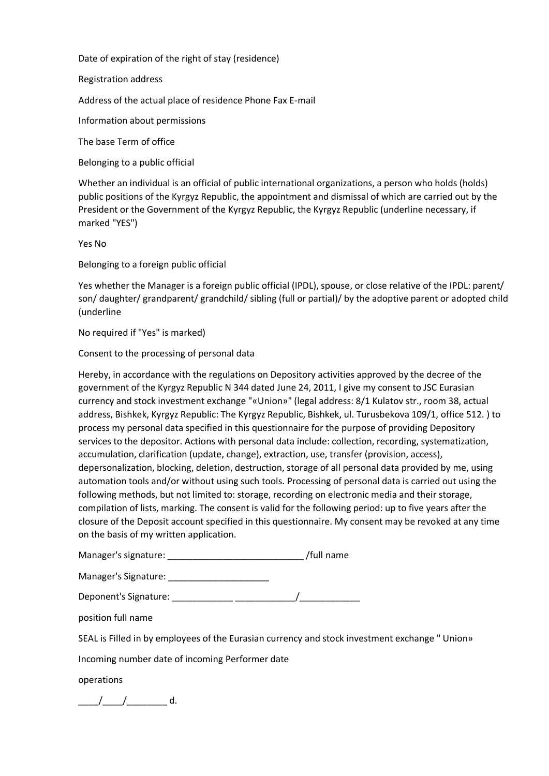Date of expiration of the right of stay (residence)

Registration address

Address of the actual place of residence Phone Fax E-mail

Information about permissions

The base Term of office

Belonging to a public official

Whether an individual is an official of public international organizations, a person who holds (holds) public positions of the Kyrgyz Republic, the appointment and dismissal of which are carried out by the President or the Government of the Kyrgyz Republic, the Kyrgyz Republic (underline necessary, if marked "YES")

Yes No

Belonging to a foreign public official

Yes whether the Manager is a foreign public official (IPDL), spouse, or close relative of the IPDL: parent/ son/ daughter/ grandparent/ grandchild/ sibling (full or partial)/ by the adoptive parent or adopted child (underline

No required if "Yes" is marked)

Consent to the processing of personal data

Hereby, in accordance with the regulations on Depository activities approved by the decree of the government of the Kyrgyz Republic N 344 dated June 24, 2011, I give my consent to JSC Eurasian currency and stock investment exchange "«Union»" (legal address: 8/1 Kulatov str., room 38, actual address, Bishkek, Kyrgyz Republic: The Kyrgyz Republic, Bishkek, ul. Turusbekova 109/1, office 512. ) to process my personal data specified in this questionnaire for the purpose of providing Depository services to the depositor. Actions with personal data include: collection, recording, systematization, accumulation, clarification (update, change), extraction, use, transfer (provision, access), depersonalization, blocking, deletion, destruction, storage of all personal data provided by me, using automation tools and/or without using such tools. Processing of personal data is carried out using the following methods, but not limited to: storage, recording on electronic media and their storage, compilation of lists, marking. The consent is valid for the following period: up to five years after the closure of the Deposit account specified in this questionnaire. My consent may be revoked at any time on the basis of my written application.

Manager's signature: \_\_\_\_\_\_\_\_\_\_\_\_\_\_\_\_\_\_\_\_\_\_\_\_\_\_\_ /full name

Manager's Signature: \_\_\_\_\_\_\_\_\_\_\_\_\_\_\_\_\_\_\_\_

Deponent's Signature: \_\_\_\_\_\_\_\_\_\_\_\_ \_\_\_\_\_\_\_\_\_\_\_\_/\_\_\_\_\_\_\_\_\_\_\_\_

position full name

SEAL is Filled in by employees of the Eurasian currency and stock investment exchange " Union»

Incoming number date of incoming Performer date

operations

 $\frac{1}{\sqrt{1-\frac{1}{2}}}\frac{1}{\sqrt{1-\frac{1}{2}}}\frac{1}{\sqrt{1-\frac{1}{2}}}\frac{1}{\sqrt{1-\frac{1}{2}}}\frac{1}{\sqrt{1-\frac{1}{2}}}\frac{1}{\sqrt{1-\frac{1}{2}}}\frac{1}{\sqrt{1-\frac{1}{2}}}\frac{1}{\sqrt{1-\frac{1}{2}}}\frac{1}{\sqrt{1-\frac{1}{2}}}\frac{1}{\sqrt{1-\frac{1}{2}}}\frac{1}{\sqrt{1-\frac{1}{2}}}\frac{1}{\sqrt{1-\frac{1}{2}}}\frac{1}{\sqrt{1-\frac{1}{2}}}\frac{1}{\sqrt{1-\frac{$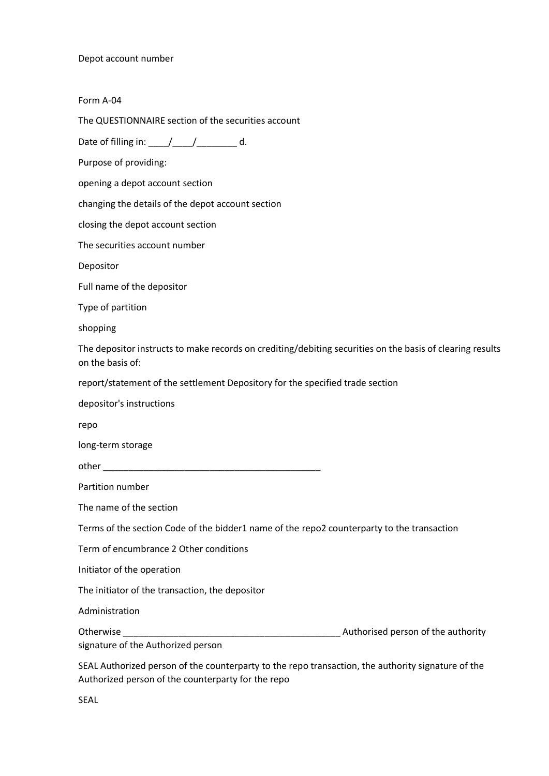Depot account number

Form A-04

The QUESTIONNAIRE section of the securities account

Date of filling in:  $\frac{1}{2}$   $\frac{1}{2}$   $\frac{1}{2}$  d.

Purpose of providing:

opening a depot account section

changing the details of the depot account section

closing the depot account section

The securities account number

Depositor

Full name of the depositor

Type of partition

shopping

The depositor instructs to make records on crediting/debiting securities on the basis of clearing results on the basis of:

report/statement of the settlement Depository for the specified trade section

depositor's instructions

repo

long-term storage

other \_\_\_\_\_\_\_\_\_\_\_\_\_\_\_\_\_\_\_\_\_\_\_\_\_\_\_\_\_\_\_\_\_\_\_\_\_\_\_\_\_\_\_

Partition number

The name of the section

Terms of the section Code of the bidder1 name of the repo2 counterparty to the transaction

Term of encumbrance 2 Other conditions

Initiator of the operation

The initiator of the transaction, the depositor

Administration Otherwise **Outlet and COLL COLL 2018** Authorised person of the authority

signature of the Authorized person

SEAL Authorized person of the counterparty to the repo transaction, the authority signature of the Authorized person of the counterparty for the repo

SEAL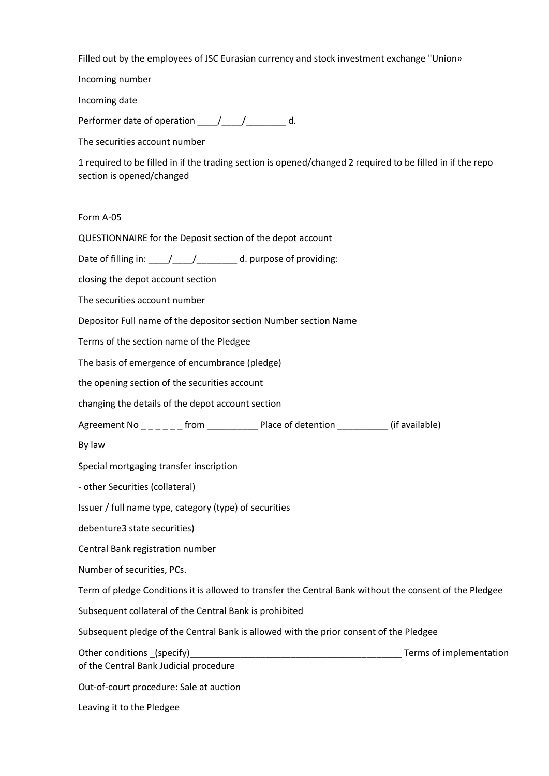Filled out by the employees of JSC Eurasian currency and stock investment exchange "Union»

Incoming number

Incoming date

Performer date of operation \_\_\_\_/\_\_\_\_/\_\_\_\_\_\_\_ d.

The securities account number

1 required to be filled in if the trading section is opened/changed 2 required to be filled in if the repo section is opened/changed

Form A-05

QUESTIONNAIRE for the Deposit section of the depot account

Date of filling in:  $\frac{1}{\sqrt{1-\frac{1}{\sqrt{1-\frac{1}{\sqrt{1-\frac{1}{\sqrt{1-\frac{1}{\sqrt{1-\frac{1}{\sqrt{1-\frac{1}{\sqrt{1-\frac{1}{\sqrt{1-\frac{1}{\sqrt{1-\frac{1}{\sqrt{1-\frac{1}{\sqrt{1-\frac{1}{\sqrt{1-\frac{1}{\sqrt{1-\frac{1}{\sqrt{1-\frac{1}{\sqrt{1-\frac{1}{\sqrt{1-\frac{1}{\sqrt{1-\frac{1}{\sqrt{1-\frac{1}{\sqrt{1-\frac{1}{\sqrt{1-\frac{1}{\sqrt{1-\frac{1}{\sqrt{1-\frac$ 

closing the depot account section

The securities account number

Depositor Full name of the depositor section Number section Name

Terms of the section name of the Pledgee

The basis of emergence of encumbrance (pledge)

the opening section of the securities account

changing the details of the depot account section

Agreement No \_ \_ \_ \_ \_ from \_ \_ \_ \_ \_ \_ Place of detention \_ \_ \_ \_ \_ \_ \_ (if available)

By law

Special mortgaging transfer inscription

- other Securities (collateral)

Issuer / full name type, category (type) of securities

debenture3 state securities)

Central Bank registration number

Number of securities, PCs.

Term of pledge Conditions it is allowed to transfer the Central Bank without the consent of the Pledgee

Subsequent collateral of the Central Bank is prohibited

Subsequent pledge of the Central Bank is allowed with the prior consent of the Pledgee

Other conditions (specify) example the conditions of implementation of implementation of the Central Bank Judicial procedure

Out-of-court procedure: Sale at auction

Leaving it to the Pledgee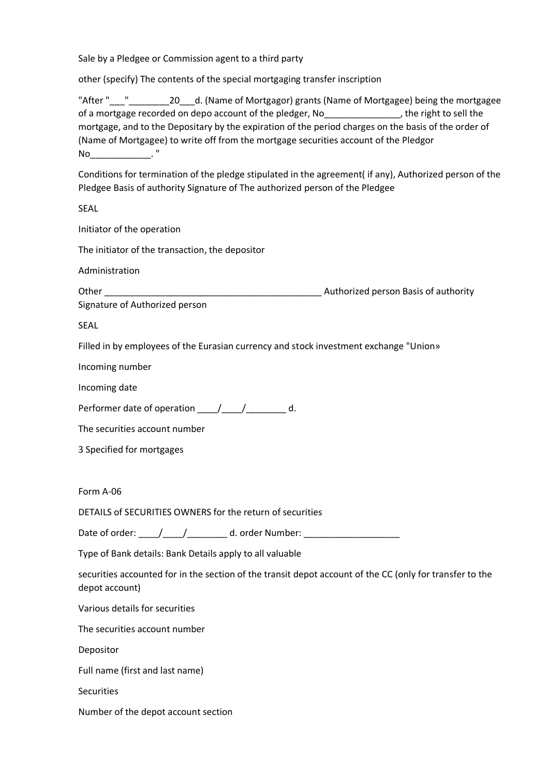Sale by a Pledgee or Commission agent to a third party

other (specify) The contents of the special mortgaging transfer inscription

"After " " 20 \_d. (Name of Mortgagor) grants (Name of Mortgagee) being the mortgagee of a mortgage recorded on depo account of the pledger, No\_\_\_\_\_\_\_\_\_\_\_\_\_\_\_\_, the right to sell the mortgage, and to the Depositary by the expiration of the period charges on the basis of the order of (Name of Mortgagee) to write off from the mortgage securities account of the Pledgor  $\mathsf{No}$   $\qquad \qquad \mathsf{``}$ 

Conditions for termination of the pledge stipulated in the agreement( if any), Authorized person of the Pledgee Basis of authority Signature of The authorized person of the Pledgee

SEAL

Initiator of the operation

The initiator of the transaction, the depositor

Administration

Other \_\_\_\_\_\_\_\_\_\_\_\_\_\_\_\_\_\_\_\_\_\_\_\_\_\_\_\_\_\_\_\_\_\_\_\_\_\_\_\_\_\_\_ Authorized person Basis of authority

Signature of Authorized person

SEAL

Filled in by employees of the Eurasian currency and stock investment exchange "Union»

Incoming number

Incoming date

Performer date of operation \_\_\_\_/\_\_\_\_/\_\_\_\_\_\_\_\_ d.

The securities account number

3 Specified for mortgages

Form A-06

DETAILS of SECURITIES OWNERS for the return of securities

Date of order:  $\frac{1}{2}$   $\frac{1}{2}$   $\frac{1}{2}$  d. order Number:  $\frac{1}{2}$ 

Type of Bank details: Bank Details apply to all valuable

securities accounted for in the section of the transit depot account of the CC (only for transfer to the depot account)

Various details for securities

The securities account number

Depositor

Full name (first and last name)

**Securities** 

Number of the depot account section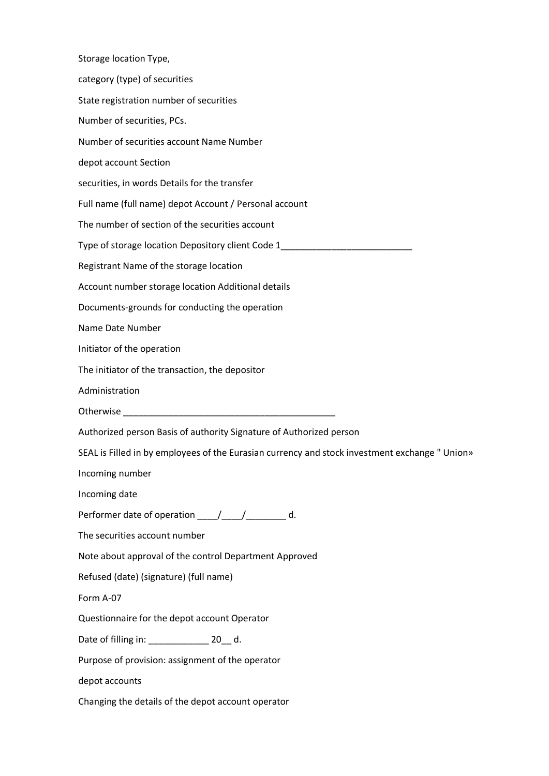Storage location Type, category (type) of securities State registration number of securities Number of securities, PCs. Number of securities account Name Number depot account Section securities, in words Details for the transfer Full name (full name) depot Account / Personal account The number of section of the securities account Type of storage location Depository client Code 1\_\_\_\_\_\_\_\_\_\_\_\_\_\_\_\_\_\_\_\_\_\_\_\_\_\_ Registrant Name of the storage location Account number storage location Additional details Documents-grounds for conducting the operation Name Date Number Initiator of the operation The initiator of the transaction, the depositor Administration Otherwise \_\_\_\_\_\_\_\_\_\_\_\_\_\_\_\_\_\_\_\_\_\_\_\_\_\_\_\_\_\_\_\_\_\_\_\_\_\_\_\_\_\_ Authorized person Basis of authority Signature of Authorized person SEAL is Filled in by employees of the Eurasian currency and stock investment exchange " Union» Incoming number Incoming date Performer date of operation \_\_\_\_\_/\_\_\_\_\_/ \_\_\_\_\_\_\_ d. The securities account number Note about approval of the control Department Approved Refused (date) (signature) (full name) Form A-07 Questionnaire for the depot account Operator Date of filling in: \_\_\_\_\_\_\_\_\_\_\_\_\_\_\_\_ 20\_\_ d. Purpose of provision: assignment of the operator depot accounts Changing the details of the depot account operator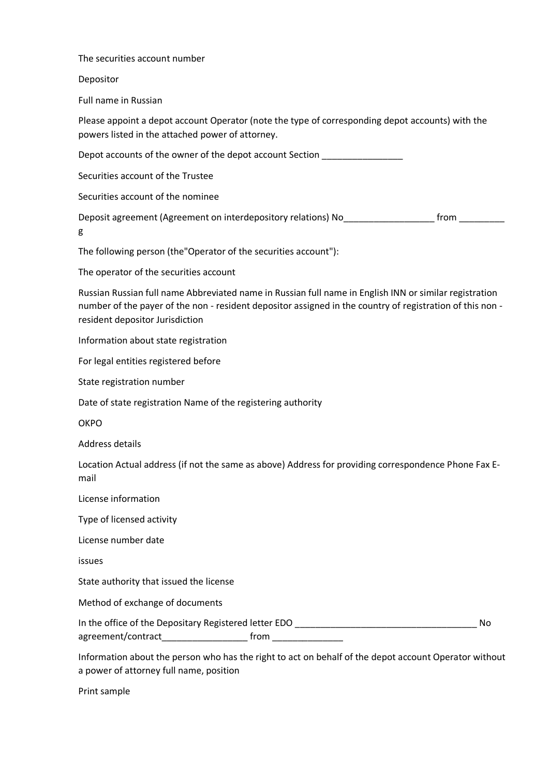The securities account number

Depositor

Full name in Russian

Please appoint a depot account Operator (note the type of corresponding depot accounts) with the powers listed in the attached power of attorney.

Depot accounts of the owner of the depot account Section \_\_\_\_\_\_

Securities account of the Trustee

Securities account of the nominee

Deposit agreement (Agreement on interdepository relations) No <br>from the from the from the from the from the from the from the from the from the from the from the from the from the from the from the from the from the from t g

The following person (the"Operator of the securities account"):

The operator of the securities account

Russian Russian full name Abbreviated name in Russian full name in English INN or similar registration number of the payer of the non - resident depositor assigned in the country of registration of this non resident depositor Jurisdiction

Information about state registration

For legal entities registered before

State registration number

Date of state registration Name of the registering authority

**OKPO** 

Address details

Location Actual address (if not the same as above) Address for providing correspondence Phone Fax Email

License information

Type of licensed activity

License number date

issues

State authority that issued the license

Method of exchange of documents

In the office of the Depositary Registered letter EDO \_\_\_\_\_\_\_\_\_\_\_\_\_\_\_\_\_\_\_\_\_\_\_\_\_\_\_\_\_\_\_\_\_\_\_\_ No agreement/contract\_\_\_\_\_\_\_\_\_\_\_\_\_\_\_\_\_\_\_\_\_\_\_\_\_ from \_\_\_\_\_\_\_\_\_\_\_\_\_\_\_\_\_\_\_\_\_\_\_\_\_\_\_\_\_\_\_

Information about the person who has the right to act on behalf of the depot account Operator without a power of attorney full name, position

Print sample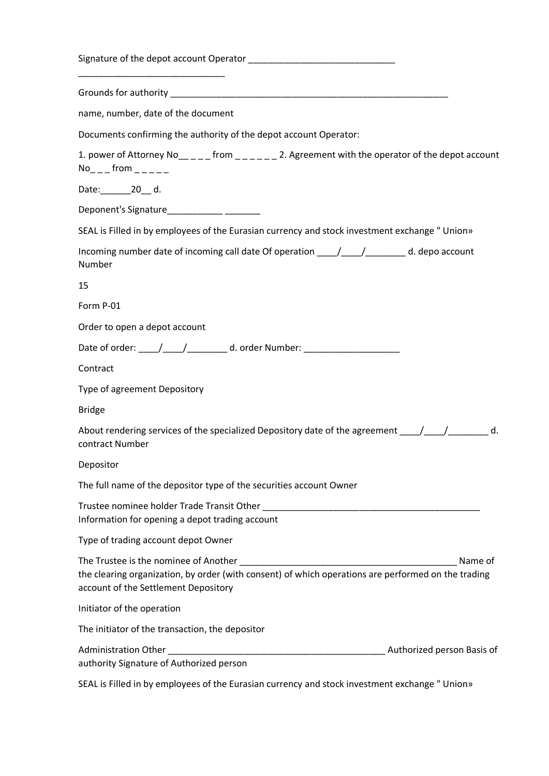| name, number, date of the document                                                                                                                                                              |
|-------------------------------------------------------------------------------------------------------------------------------------------------------------------------------------------------|
| Documents confirming the authority of the depot account Operator:                                                                                                                               |
| 1. power of Attorney No_____ from ______ 2. Agreement with the operator of the depot account<br>$No_{---}$ from $_{---}$                                                                        |
| Date:______________20____ d.                                                                                                                                                                    |
|                                                                                                                                                                                                 |
| SEAL is Filled in by employees of the Eurasian currency and stock investment exchange " Union»                                                                                                  |
| Incoming number date of incoming call date Of operation ____/____/__________ d. depo account<br>Number                                                                                          |
| 15                                                                                                                                                                                              |
| Form P-01                                                                                                                                                                                       |
| Order to open a depot account                                                                                                                                                                   |
| Date of order: _____/_____/__________ d. order Number: _________________________                                                                                                                |
| Contract                                                                                                                                                                                        |
| Type of agreement Depository                                                                                                                                                                    |
| <b>Bridge</b>                                                                                                                                                                                   |
| About rendering services of the specialized Depository date of the agreement _______________________ d.<br>contract Number                                                                      |
| Depositor                                                                                                                                                                                       |
| The full name of the depositor type of the securities account Owner                                                                                                                             |
| Trustee nominee holder Trade Transit Other<br>Information for opening a depot trading account                                                                                                   |
| Type of trading account depot Owner                                                                                                                                                             |
| The Trustee is the nominee of Another<br>Name of<br>the clearing organization, by order (with consent) of which operations are performed on the trading<br>account of the Settlement Depository |
| Initiator of the operation                                                                                                                                                                      |
| The initiator of the transaction, the depositor                                                                                                                                                 |
| Administration Other _<br>Authorized person Basis of<br>authority Signature of Authorized person                                                                                                |

SEAL is Filled in by employees of the Eurasian currency and stock investment exchange " Union»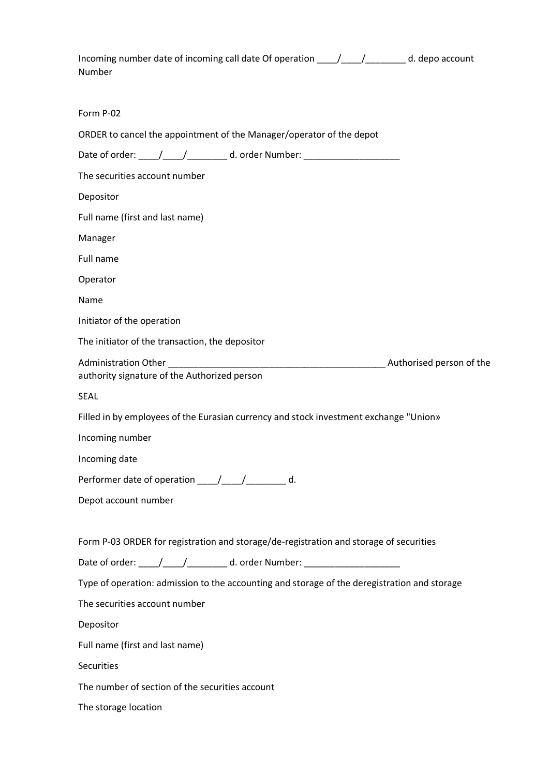| Incoming number date of incoming call date Of operation ____/____/__________ d. depo account<br>Number |  |
|--------------------------------------------------------------------------------------------------------|--|
| Form P-02                                                                                              |  |
| ORDER to cancel the appointment of the Manager/operator of the depot                                   |  |
| Date of order: _____/_____/___________ d. order Number: ________________________                       |  |
| The securities account number                                                                          |  |
| Depositor                                                                                              |  |
| Full name (first and last name)                                                                        |  |
| Manager                                                                                                |  |
| Full name                                                                                              |  |
| Operator                                                                                               |  |
| Name                                                                                                   |  |
| Initiator of the operation                                                                             |  |
| The initiator of the transaction, the depositor                                                        |  |
| authority signature of the Authorized person                                                           |  |
| <b>SEAL</b>                                                                                            |  |
| Filled in by employees of the Eurasian currency and stock investment exchange "Union»                  |  |
| Incoming number                                                                                        |  |
| Incoming date                                                                                          |  |
| Performer date of operation _____/_____/__________ d.                                                  |  |
| Depot account number                                                                                   |  |
| Form P-03 ORDER for registration and storage/de-registration and storage of securities                 |  |
| Date of order: _____/______/___________ d. order Number: _______________________                       |  |
| Type of operation: admission to the accounting and storage of the deregistration and storage           |  |
| The securities account number                                                                          |  |
| Depositor                                                                                              |  |
| Full name (first and last name)                                                                        |  |
| Securities                                                                                             |  |
| The number of section of the securities account                                                        |  |
|                                                                                                        |  |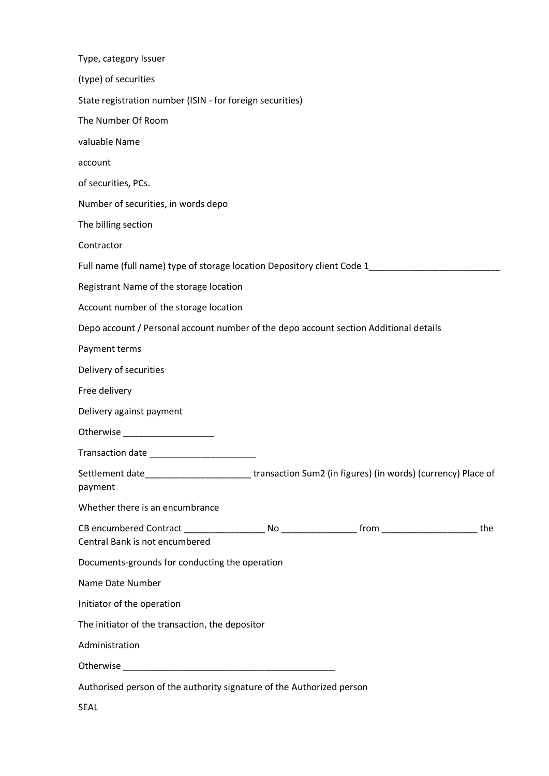| Type, category Issuer                                                                                              |
|--------------------------------------------------------------------------------------------------------------------|
| (type) of securities                                                                                               |
| State registration number (ISIN - for foreign securities)                                                          |
| The Number Of Room                                                                                                 |
| valuable Name                                                                                                      |
| account                                                                                                            |
| of securities, PCs.                                                                                                |
| Number of securities, in words depo                                                                                |
| The billing section                                                                                                |
| Contractor                                                                                                         |
| Full name (full name) type of storage location Depository client Code 1________________                            |
| Registrant Name of the storage location                                                                            |
| Account number of the storage location                                                                             |
| Depo account / Personal account number of the depo account section Additional details                              |
| Payment terms                                                                                                      |
| Delivery of securities                                                                                             |
| Free delivery                                                                                                      |
| Delivery against payment                                                                                           |
|                                                                                                                    |
|                                                                                                                    |
| Settlement date____________________________transaction Sum2 (in figures) (in words) (currency) Place of<br>payment |
| Whether there is an encumbrance                                                                                    |
| the<br>Central Bank is not encumbered                                                                              |
| Documents-grounds for conducting the operation                                                                     |
| Name Date Number                                                                                                   |
| Initiator of the operation                                                                                         |
| The initiator of the transaction, the depositor                                                                    |
| Administration                                                                                                     |
|                                                                                                                    |
| Authorised person of the authority signature of the Authorized person                                              |
| SEAL                                                                                                               |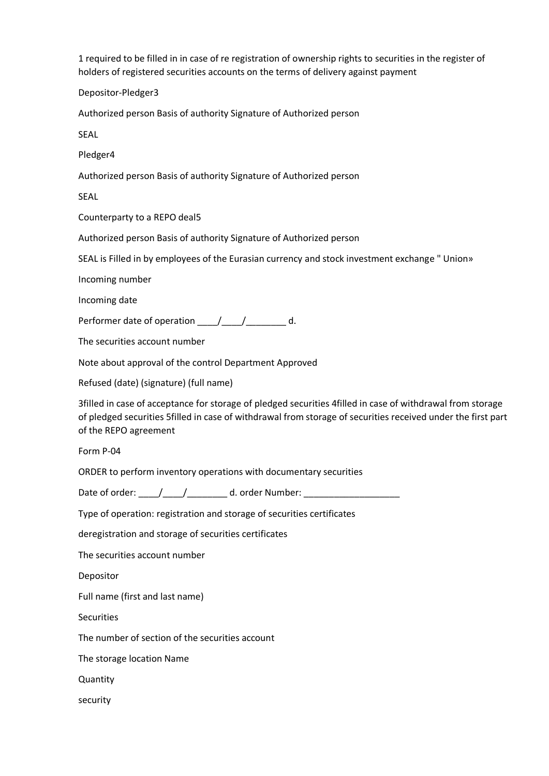1 required to be filled in in case of re registration of ownership rights to securities in the register of holders of registered securities accounts on the terms of delivery against payment

Depositor-Pledger3

Authorized person Basis of authority Signature of Authorized person

SEAL

Pledger4

Authorized person Basis of authority Signature of Authorized person

SEAL

Counterparty to a REPO deal5

Authorized person Basis of authority Signature of Authorized person

SEAL is Filled in by employees of the Eurasian currency and stock investment exchange " Union»

Incoming number

Incoming date

Performer date of operation \_\_\_\_/\_\_\_\_/\_\_\_\_\_\_\_ d.

The securities account number

Note about approval of the control Department Approved

Refused (date) (signature) (full name)

3filled in case of acceptance for storage of pledged securities 4filled in case of withdrawal from storage of pledged securities 5filled in case of withdrawal from storage of securities received under the first part of the REPO agreement

Form P-04

ORDER to perform inventory operations with documentary securities

Date of order:  $\frac{1}{2}$  / d. order Number:

Type of operation: registration and storage of securities certificates

deregistration and storage of securities certificates

The securities account number

Depositor

Full name (first and last name)

**Securities** 

The number of section of the securities account

The storage location Name

Quantity

security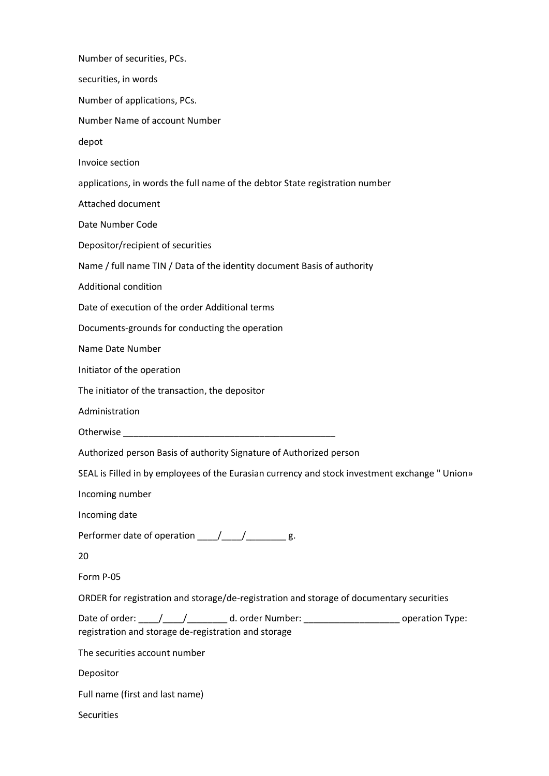| Number of securities, PCs.                                                                                                                               |  |
|----------------------------------------------------------------------------------------------------------------------------------------------------------|--|
| securities, in words                                                                                                                                     |  |
| Number of applications, PCs.                                                                                                                             |  |
| Number Name of account Number                                                                                                                            |  |
| depot                                                                                                                                                    |  |
| Invoice section                                                                                                                                          |  |
| applications, in words the full name of the debtor State registration number                                                                             |  |
| Attached document                                                                                                                                        |  |
| Date Number Code                                                                                                                                         |  |
| Depositor/recipient of securities                                                                                                                        |  |
| Name / full name TIN / Data of the identity document Basis of authority                                                                                  |  |
| <b>Additional condition</b>                                                                                                                              |  |
| Date of execution of the order Additional terms                                                                                                          |  |
| Documents-grounds for conducting the operation                                                                                                           |  |
| Name Date Number                                                                                                                                         |  |
| Initiator of the operation                                                                                                                               |  |
| The initiator of the transaction, the depositor                                                                                                          |  |
| Administration                                                                                                                                           |  |
|                                                                                                                                                          |  |
| Authorized person Basis of authority Signature of Authorized person                                                                                      |  |
| SEAL is Filled in by employees of the Eurasian currency and stock investment exchange " Union»                                                           |  |
| Incoming number                                                                                                                                          |  |
| Incoming date                                                                                                                                            |  |
| Performer date of operation ____/____/______g.                                                                                                           |  |
| 20                                                                                                                                                       |  |
| Form P-05                                                                                                                                                |  |
| ORDER for registration and storage/de-registration and storage of documentary securities                                                                 |  |
| Date of order: ____/____/___________ d. order Number: __________________________ operation Type:<br>registration and storage de-registration and storage |  |
| The securities account number                                                                                                                            |  |
| Depositor                                                                                                                                                |  |
| Full name (first and last name)                                                                                                                          |  |
| <b>Securities</b>                                                                                                                                        |  |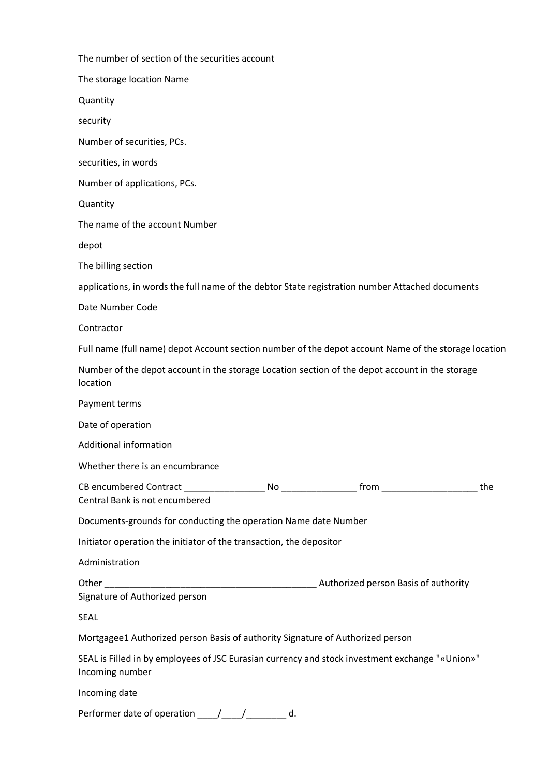| The number of section of the securities account                                                                    |     |
|--------------------------------------------------------------------------------------------------------------------|-----|
| The storage location Name                                                                                          |     |
| Quantity                                                                                                           |     |
| security                                                                                                           |     |
| Number of securities, PCs.                                                                                         |     |
| securities, in words                                                                                               |     |
| Number of applications, PCs.                                                                                       |     |
| Quantity                                                                                                           |     |
| The name of the account Number                                                                                     |     |
| depot                                                                                                              |     |
| The billing section                                                                                                |     |
| applications, in words the full name of the debtor State registration number Attached documents                    |     |
| Date Number Code                                                                                                   |     |
| Contractor                                                                                                         |     |
| Full name (full name) depot Account section number of the depot account Name of the storage location               |     |
| Number of the depot account in the storage Location section of the depot account in the storage<br>location        |     |
| Payment terms                                                                                                      |     |
| Date of operation                                                                                                  |     |
| <b>Additional information</b>                                                                                      |     |
| Whether there is an encumbrance                                                                                    |     |
| Central Bank is not encumbered                                                                                     | the |
| Documents-grounds for conducting the operation Name date Number                                                    |     |
| Initiator operation the initiator of the transaction, the depositor                                                |     |
| Administration                                                                                                     |     |
| Signature of Authorized person                                                                                     |     |
| SEAL                                                                                                               |     |
| Mortgagee1 Authorized person Basis of authority Signature of Authorized person                                     |     |
| SEAL is Filled in by employees of JSC Eurasian currency and stock investment exchange "«Union»"<br>Incoming number |     |
| Incoming date                                                                                                      |     |

Performer date of operation \_\_\_\_\_/\_\_\_\_\_/\_\_\_\_\_\_\_\_ d.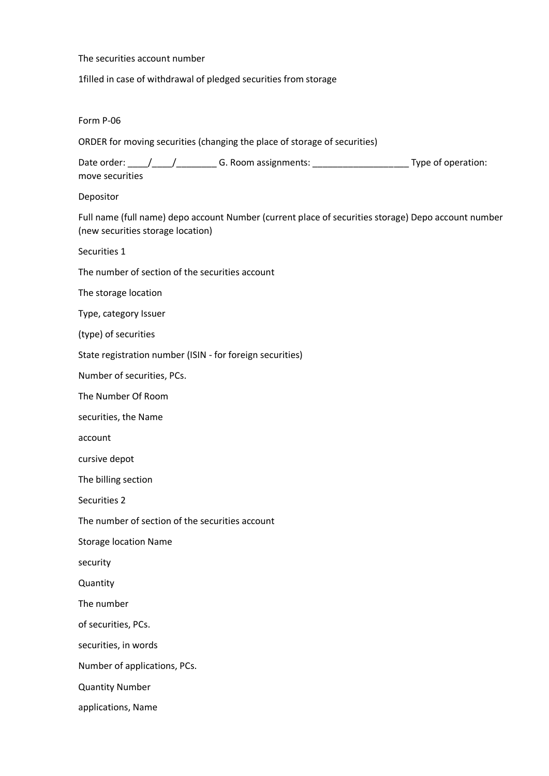## The securities account number

1filled in case of withdrawal of pledged securities from storage

## Form P-06

ORDER for moving securities (changing the place of storage of securities)

Date order: \_\_\_\_/\_\_\_\_/\_\_\_\_\_\_\_\_ G. Room assignments: \_\_\_\_\_\_\_\_\_\_\_\_\_\_\_\_\_\_\_ Type of operation: move securities

## Depositor

Full name (full name) depo account Number (current place of securities storage) Depo account number (new securities storage location)

Securities 1

The number of section of the securities account

The storage location

Type, category Issuer

(type) of securities

State registration number (ISIN - for foreign securities)

Number of securities, PCs.

The Number Of Room

securities, the Name

account

cursive depot

The billing section

Securities 2

The number of section of the securities account

Storage location Name

security

**Quantity** 

The number

of securities, PCs.

securities, in words

Number of applications, PCs.

Quantity Number

applications, Name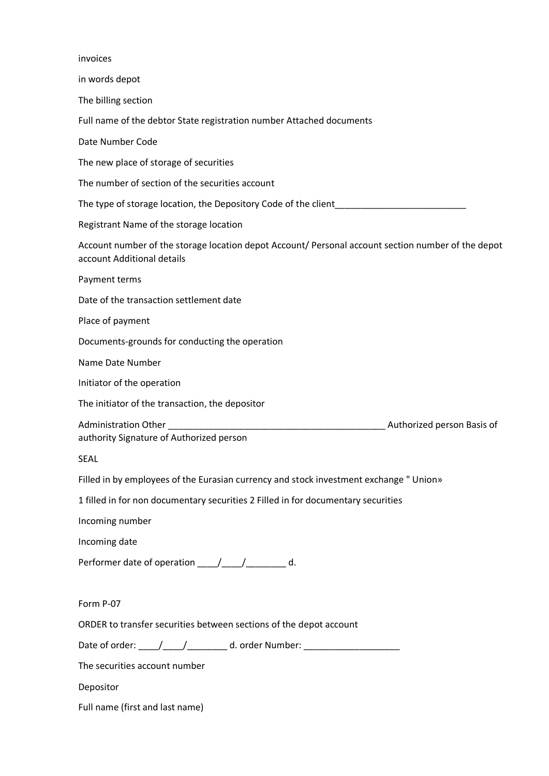| invoices                                                                                                                         |
|----------------------------------------------------------------------------------------------------------------------------------|
| in words depot                                                                                                                   |
| The billing section                                                                                                              |
| Full name of the debtor State registration number Attached documents                                                             |
| Date Number Code                                                                                                                 |
| The new place of storage of securities                                                                                           |
| The number of section of the securities account                                                                                  |
| The type of storage location, the Depository Code of the client                                                                  |
| Registrant Name of the storage location                                                                                          |
| Account number of the storage location depot Account/ Personal account section number of the depot<br>account Additional details |
| Payment terms                                                                                                                    |
| Date of the transaction settlement date                                                                                          |
| Place of payment                                                                                                                 |
| Documents-grounds for conducting the operation                                                                                   |
| Name Date Number                                                                                                                 |
| Initiator of the operation                                                                                                       |
| The initiator of the transaction, the depositor                                                                                  |
| <b>Administration Other</b><br>Authorized person Basis of<br>authority Signature of Authorized person                            |
| <b>SEAL</b>                                                                                                                      |
| Filled in by employees of the Eurasian currency and stock investment exchange " Union»                                           |
| 1 filled in for non documentary securities 2 Filled in for documentary securities                                                |
| Incoming number                                                                                                                  |
| Incoming date                                                                                                                    |
| Performer date of operation ____/____/________ d.                                                                                |
| Form P-07                                                                                                                        |
| ORDER to transfer securities between sections of the depot account                                                               |
| Date of order: _____/______/__________ d. order Number: ________________________                                                 |
| The securities account number                                                                                                    |
| Depositor                                                                                                                        |
| Full name (first and last name)                                                                                                  |
|                                                                                                                                  |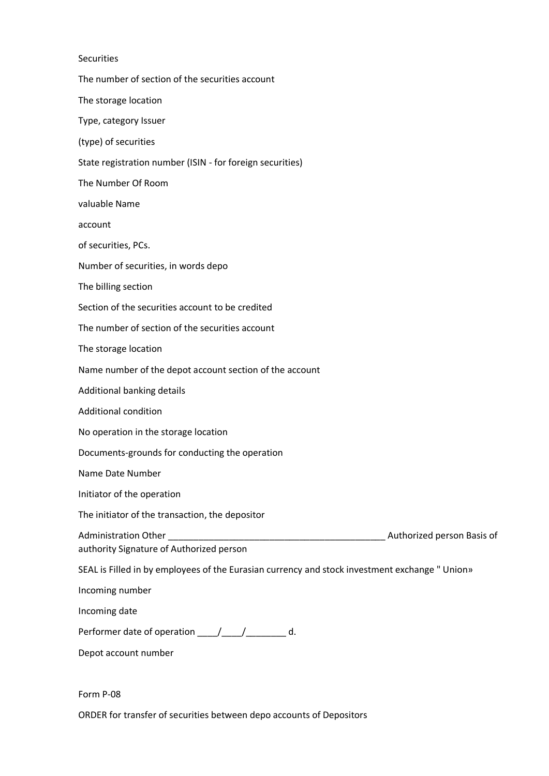| <b>Securities</b>                                                                              |  |
|------------------------------------------------------------------------------------------------|--|
| The number of section of the securities account                                                |  |
| The storage location                                                                           |  |
| Type, category Issuer                                                                          |  |
| (type) of securities                                                                           |  |
| State registration number (ISIN - for foreign securities)                                      |  |
| The Number Of Room                                                                             |  |
| valuable Name                                                                                  |  |
| account                                                                                        |  |
| of securities, PCs.                                                                            |  |
| Number of securities, in words depo                                                            |  |
| The billing section                                                                            |  |
| Section of the securities account to be credited                                               |  |
| The number of section of the securities account                                                |  |
| The storage location                                                                           |  |
| Name number of the depot account section of the account                                        |  |
| Additional banking details                                                                     |  |
| <b>Additional condition</b>                                                                    |  |
| No operation in the storage location                                                           |  |
| Documents-grounds for conducting the operation                                                 |  |
| Name Date Number                                                                               |  |
| Initiator of the operation                                                                     |  |
| The initiator of the transaction, the depositor                                                |  |
| authority Signature of Authorized person                                                       |  |
| SEAL is Filled in by employees of the Eurasian currency and stock investment exchange " Union» |  |
| Incoming number                                                                                |  |
| Incoming date                                                                                  |  |
| Performer date of operation _____/_____/__________ d.                                          |  |
| Depot account number                                                                           |  |
|                                                                                                |  |

Form P-08

ORDER for transfer of securities between depo accounts of Depositors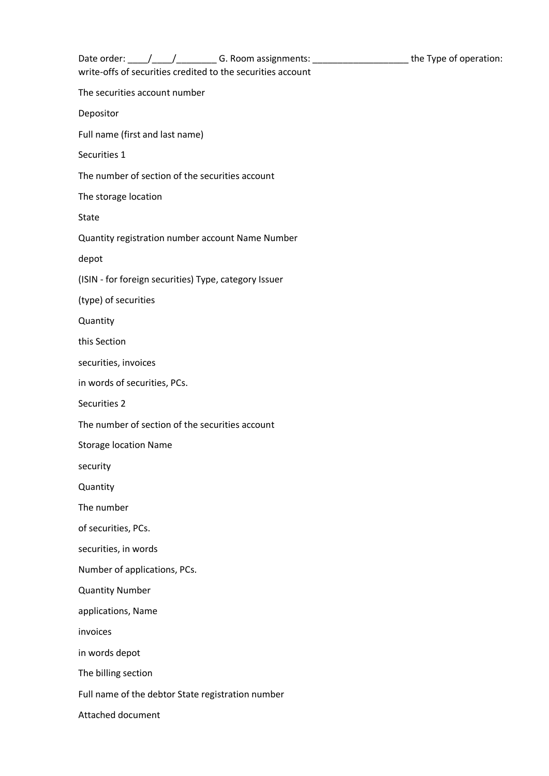| Date order: ____/_____/_______________G. Room assignments: __________________________the Type of operation: |  |
|-------------------------------------------------------------------------------------------------------------|--|
| write-offs of securities credited to the securities account                                                 |  |
| The securities account number                                                                               |  |
| Depositor                                                                                                   |  |
| Full name (first and last name)                                                                             |  |
| Securities 1                                                                                                |  |
| The number of section of the securities account                                                             |  |
| The storage location                                                                                        |  |
| State                                                                                                       |  |
| Quantity registration number account Name Number                                                            |  |
| depot                                                                                                       |  |
| (ISIN - for foreign securities) Type, category Issuer                                                       |  |
| (type) of securities                                                                                        |  |
| Quantity                                                                                                    |  |
| this Section                                                                                                |  |
| securities, invoices                                                                                        |  |
| in words of securities, PCs.                                                                                |  |
| Securities 2                                                                                                |  |
| The number of section of the securities account                                                             |  |
| <b>Storage location Name</b>                                                                                |  |
| security                                                                                                    |  |
| Quantity                                                                                                    |  |
| The number                                                                                                  |  |
| of securities, PCs.                                                                                         |  |
| securities, in words                                                                                        |  |
| Number of applications, PCs.                                                                                |  |
| <b>Quantity Number</b>                                                                                      |  |
| applications, Name                                                                                          |  |
| invoices                                                                                                    |  |
| in words depot                                                                                              |  |
| The billing section                                                                                         |  |
| Full name of the debtor State registration number                                                           |  |
| Attached document                                                                                           |  |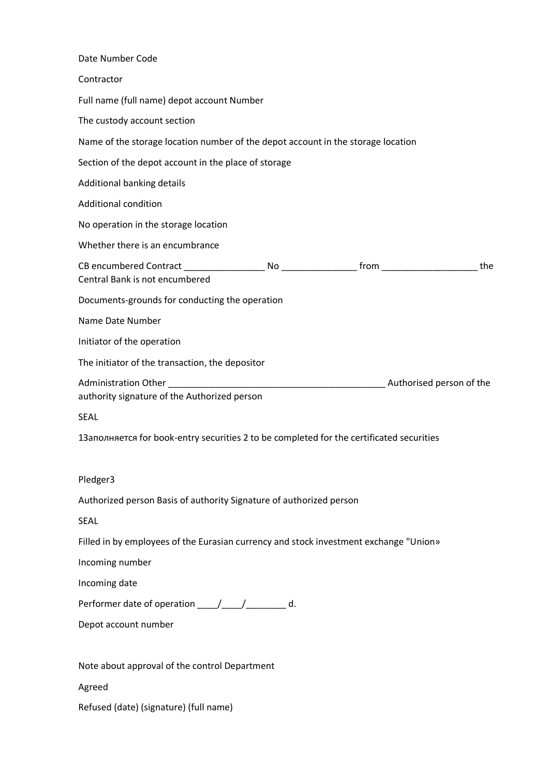| Date Number Code                                                                         |
|------------------------------------------------------------------------------------------|
| Contractor                                                                               |
| Full name (full name) depot account Number                                               |
| The custody account section                                                              |
| Name of the storage location number of the depot account in the storage location         |
| Section of the depot account in the place of storage                                     |
| Additional banking details                                                               |
| <b>Additional condition</b>                                                              |
| No operation in the storage location                                                     |
| Whether there is an encumbrance                                                          |
| the<br>Central Bank is not encumbered                                                    |
| Documents-grounds for conducting the operation                                           |
| Name Date Number                                                                         |
| Initiator of the operation                                                               |
| The initiator of the transaction, the depositor                                          |
| authority signature of the Authorized person                                             |
| <b>SEAL</b>                                                                              |
| 13аполняется for book-entry securities 2 to be completed for the certificated securities |
| Pledger3                                                                                 |
| Authorized person Basis of authority Signature of authorized person                      |
| <b>SEAL</b>                                                                              |
| Filled in by employees of the Eurasian currency and stock investment exchange "Union»    |
| Incoming number                                                                          |
| Incoming date                                                                            |
| Performer date of operation ____/____/________ d.                                        |
| Depot account number                                                                     |
| Note about approval of the control Department                                            |
| Agreed                                                                                   |
| Refused (date) (signature) (full name)                                                   |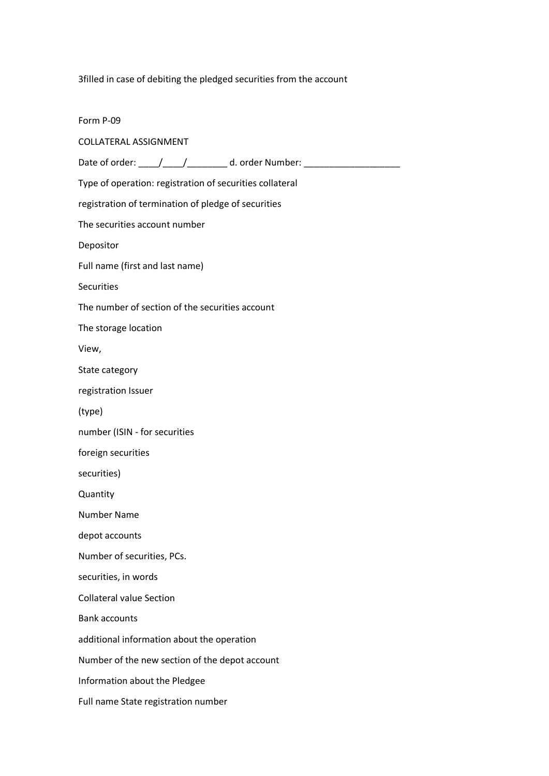3filled in case of debiting the pledged securities from the account

Form P-09 COLLATERAL ASSIGNMENT Date of order: \_\_\_\_\_/\_\_\_\_\_/\_\_\_\_\_\_\_\_\_\_ d. order Number: \_\_\_\_\_\_\_\_\_\_\_\_\_\_\_\_\_\_\_\_\_\_\_\_\_ Type of operation: registration of securities collateral registration of termination of pledge of securities The securities account number Depositor Full name (first and last name) **Securities** The number of section of the securities account The storage location View, State category registration Issuer (type) number (ISIN - for securities foreign securities securities) **Quantity** Number Name depot accounts Number of securities, PCs. securities, in words Collateral value Section Bank accounts additional information about the operation Number of the new section of the depot account Information about the Pledgee Full name State registration number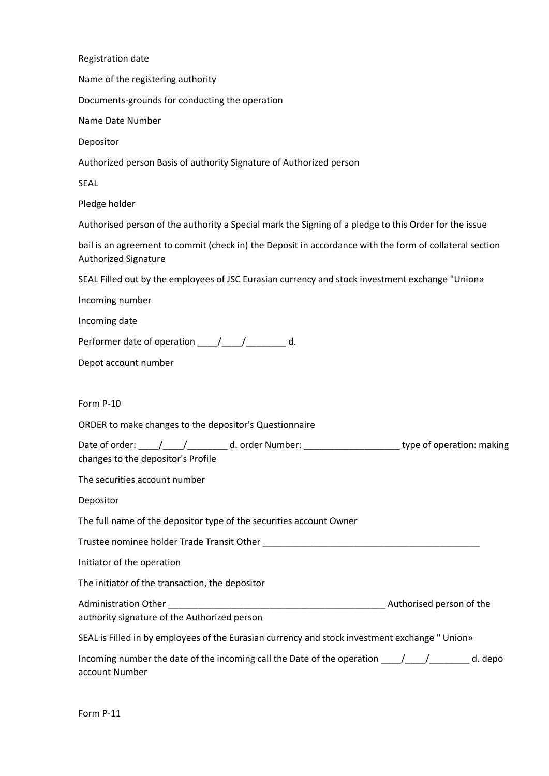| Registration date                                                                                                                                      |
|--------------------------------------------------------------------------------------------------------------------------------------------------------|
| Name of the registering authority                                                                                                                      |
| Documents-grounds for conducting the operation                                                                                                         |
| Name Date Number                                                                                                                                       |
| Depositor                                                                                                                                              |
| Authorized person Basis of authority Signature of Authorized person                                                                                    |
| <b>SEAL</b>                                                                                                                                            |
| Pledge holder                                                                                                                                          |
| Authorised person of the authority a Special mark the Signing of a pledge to this Order for the issue                                                  |
| bail is an agreement to commit (check in) the Deposit in accordance with the form of collateral section<br><b>Authorized Signature</b>                 |
| SEAL Filled out by the employees of JSC Eurasian currency and stock investment exchange "Union»                                                        |
| Incoming number                                                                                                                                        |
| Incoming date                                                                                                                                          |
| Performer date of operation _____/_____/__________ d.                                                                                                  |
| Depot account number                                                                                                                                   |
|                                                                                                                                                        |
| Form P-10                                                                                                                                              |
| ORDER to make changes to the depositor's Questionnaire                                                                                                 |
| Date of order: ____/____/________________d. order Number: _____________________________type of operation: making<br>changes to the depositor's Profile |
| The securities account number                                                                                                                          |
| Depositor                                                                                                                                              |
| The full name of the depositor type of the securities account Owner                                                                                    |
|                                                                                                                                                        |
| Initiator of the operation                                                                                                                             |
| The initiator of the transaction, the depositor                                                                                                        |
| authority signature of the Authorized person                                                                                                           |
| SEAL is Filled in by employees of the Eurasian currency and stock investment exchange " Union»                                                         |
| Incoming number the date of the incoming call the Date of the operation _____/_____/__________ d. depo<br>account Number                               |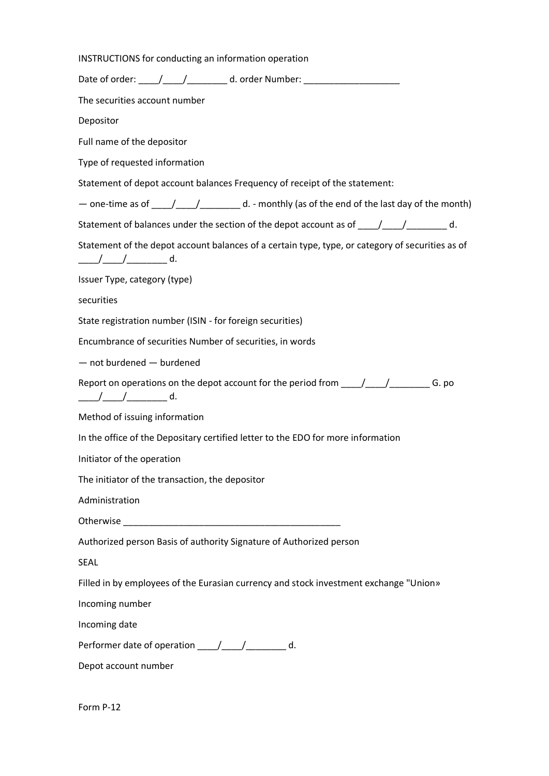INSTRUCTIONS for conducting an information operation Date of order: \_\_\_\_\_/\_\_\_\_\_/\_\_\_\_\_\_\_\_\_\_ d. order Number: \_\_\_\_\_\_\_\_\_\_\_\_\_\_\_\_\_\_\_\_\_\_\_\_\_ The securities account number Depositor Full name of the depositor Type of requested information Statement of depot account balances Frequency of receipt of the statement: — one-time as of \_\_\_\_/\_\_\_\_/\_\_\_\_\_\_\_\_ d. - monthly (as of the end of the last day of the month) Statement of balances under the section of the depot account as of  $\frac{1}{\frac{1}{\sqrt{1-\frac{1}{\sqrt{1-\frac{1}{\sqrt{1-\frac{1}{\sqrt{1-\frac{1}{\sqrt{1-\frac{1}{\sqrt{1-\frac{1}{\sqrt{1-\frac{1}{\sqrt{1-\frac{1}{\sqrt{1-\frac{1}{\sqrt{1-\frac{1}{\sqrt{1-\frac{1}{\sqrt{1-\frac{1}{\sqrt{1-\frac{1}{\sqrt{1-\frac{1}{\sqrt{1-\frac{1}{\sqrt{1-\frac{1$ Statement of the depot account balances of a certain type, type, or category of securities as of \_\_\_\_/\_\_\_\_/\_\_\_\_\_\_\_\_ d. Issuer Type, category (type) securities State registration number (ISIN - for foreign securities) Encumbrance of securities Number of securities, in words — not burdened — burdened Report on operations on the depot account for the period from  $\frac{1}{\sqrt{1-\frac{1}{\sqrt{1-\frac{1}{\sqrt{1-\frac{1}{\sqrt{1-\frac{1}{\sqrt{1-\frac{1}{\sqrt{1-\frac{1}{\sqrt{1-\frac{1}{\sqrt{1-\frac{1}{\sqrt{1-\frac{1}{\sqrt{1-\frac{1}{\sqrt{1-\frac{1}{\sqrt{1-\frac{1}{\sqrt{1-\frac{1}{\sqrt{1-\frac{1}{\sqrt{1-\frac{1}{\sqrt{1-\frac{1}{\sqrt{1-\frac{1}{$ \_\_\_\_/\_\_\_\_/\_\_\_\_\_\_\_\_ d. Method of issuing information In the office of the Depositary certified letter to the EDO for more information Initiator of the operation The initiator of the transaction, the depositor Administration Otherwise \_\_\_\_\_\_\_\_\_\_\_\_\_\_\_\_\_\_\_\_\_\_\_\_\_\_\_\_\_\_\_\_\_\_\_\_\_\_\_\_\_\_\_ Authorized person Basis of authority Signature of Authorized person SEAL Filled in by employees of the Eurasian currency and stock investment exchange "Union» Incoming number Incoming date Performer date of operation \_\_\_\_\_/\_\_\_\_\_/\_\_\_\_\_\_\_\_\_ d. Depot account number

Form P-12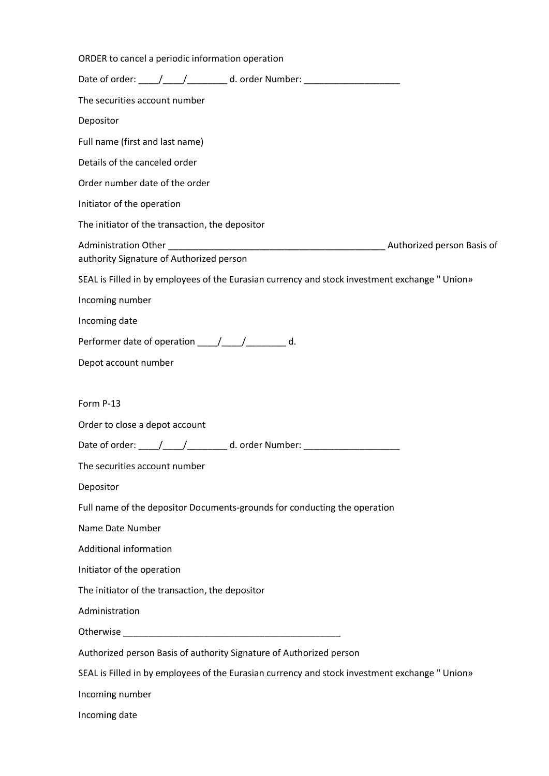| ORDER to cancel a periodic information operation                                               |
|------------------------------------------------------------------------------------------------|
| Date of order: _____/_____/___________ d. order Number: ________________________               |
| The securities account number                                                                  |
| Depositor                                                                                      |
| Full name (first and last name)                                                                |
| Details of the canceled order                                                                  |
| Order number date of the order                                                                 |
| Initiator of the operation                                                                     |
| The initiator of the transaction, the depositor                                                |
| authority Signature of Authorized person                                                       |
| SEAL is Filled in by employees of the Eurasian currency and stock investment exchange " Union» |
| Incoming number                                                                                |
| Incoming date                                                                                  |
| Performer date of operation ____/____/________ d.                                              |
| Depot account number                                                                           |
|                                                                                                |
| Form P-13                                                                                      |
| Order to close a depot account                                                                 |
| Date of order: ____/____/___________ d. order Number: __________________________               |
| The securities account number                                                                  |
| Depositor                                                                                      |
| Full name of the depositor Documents-grounds for conducting the operation                      |
| Name Date Number                                                                               |
| Additional information                                                                         |
| Initiator of the operation                                                                     |
| The initiator of the transaction, the depositor                                                |
| Administration                                                                                 |
|                                                                                                |
| Authorized person Basis of authority Signature of Authorized person                            |
| SEAL is Filled in by employees of the Eurasian currency and stock investment exchange " Union» |
| Incoming number                                                                                |
| Incoming date                                                                                  |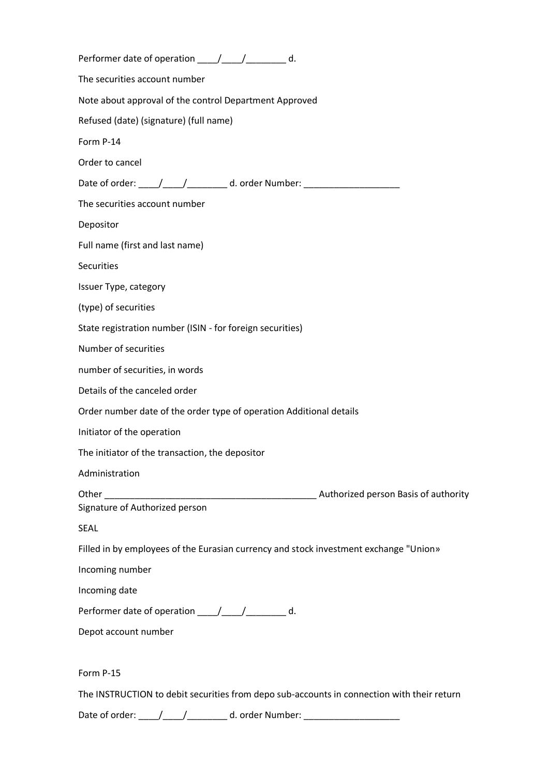| Performer date of operation _____/_____/__________ d.                                                                                                                                                                                                                                                              |
|--------------------------------------------------------------------------------------------------------------------------------------------------------------------------------------------------------------------------------------------------------------------------------------------------------------------|
| The securities account number                                                                                                                                                                                                                                                                                      |
| Note about approval of the control Department Approved                                                                                                                                                                                                                                                             |
| Refused (date) (signature) (full name)                                                                                                                                                                                                                                                                             |
| Form P-14                                                                                                                                                                                                                                                                                                          |
| Order to cancel                                                                                                                                                                                                                                                                                                    |
| Date of order: _____/______/___________ d. order Number: _______________________                                                                                                                                                                                                                                   |
| The securities account number                                                                                                                                                                                                                                                                                      |
| Depositor                                                                                                                                                                                                                                                                                                          |
| Full name (first and last name)                                                                                                                                                                                                                                                                                    |
| Securities                                                                                                                                                                                                                                                                                                         |
| Issuer Type, category                                                                                                                                                                                                                                                                                              |
| (type) of securities                                                                                                                                                                                                                                                                                               |
| State registration number (ISIN - for foreign securities)                                                                                                                                                                                                                                                          |
| Number of securities                                                                                                                                                                                                                                                                                               |
| number of securities, in words                                                                                                                                                                                                                                                                                     |
| Details of the canceled order                                                                                                                                                                                                                                                                                      |
| Order number date of the order type of operation Additional details                                                                                                                                                                                                                                                |
| Initiator of the operation                                                                                                                                                                                                                                                                                         |
| The initiator of the transaction, the depositor                                                                                                                                                                                                                                                                    |
| Administration                                                                                                                                                                                                                                                                                                     |
| Muthorized person Basis of authority Authority<br>Other Learning and the control of the control of the control of the control of the control of the control of the control of the control of the control of the control of the control of the control of the control of the cont<br>Signature of Authorized person |
| <b>SEAL</b>                                                                                                                                                                                                                                                                                                        |
| Filled in by employees of the Eurasian currency and stock investment exchange "Union»                                                                                                                                                                                                                              |
| Incoming number                                                                                                                                                                                                                                                                                                    |
| Incoming date                                                                                                                                                                                                                                                                                                      |
| Performer date of operation _____/_____/__________ d.                                                                                                                                                                                                                                                              |
| Depot account number                                                                                                                                                                                                                                                                                               |
| Form P-15                                                                                                                                                                                                                                                                                                          |
| The INSTRUCTION to debit securities from depo sub-accounts in connection with their return                                                                                                                                                                                                                         |

Date of order: \_\_\_\_\_/\_\_\_\_\_/\_\_\_\_\_\_\_\_\_\_ d. order Number: \_\_\_\_\_\_\_\_\_\_\_\_\_\_\_\_\_\_\_\_\_\_\_\_\_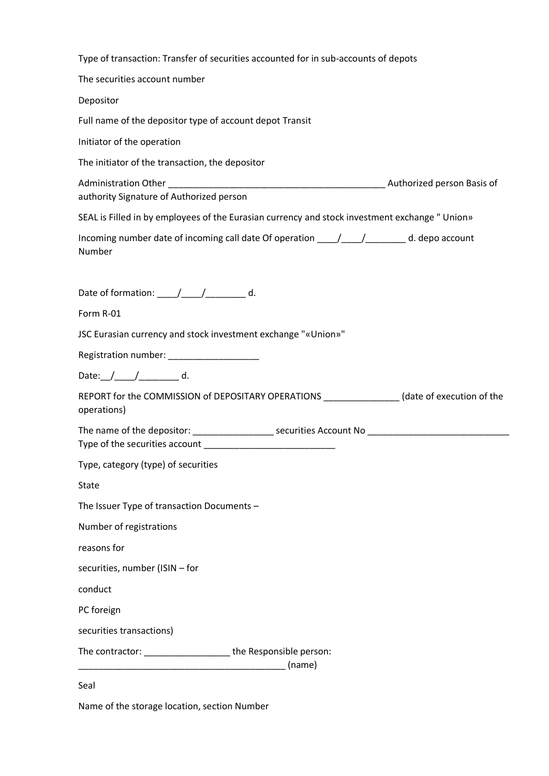| Type of transaction: Transfer of securities accounted for in sub-accounts of depots |  |
|-------------------------------------------------------------------------------------|--|
|-------------------------------------------------------------------------------------|--|

The securities account number

Depositor

Full name of the depositor type of account depot Transit

Initiator of the operation

The initiator of the transaction, the depositor

Administration Other \_\_\_\_\_\_\_\_\_\_\_\_\_\_\_\_\_\_\_\_\_\_\_\_\_\_\_\_\_\_\_\_\_\_\_\_\_\_\_\_\_\_\_ Authorized person Basis of authority Signature of Authorized person

SEAL is Filled in by employees of the Eurasian currency and stock investment exchange " Union»

| Incoming number date of incoming call date Of operation $\left/$ | d. depo account |
|------------------------------------------------------------------|-----------------|
| <b>Number</b>                                                    |                 |

Date of formation:  $\angle$  /  $\angle$  d.

Form R-01

JSC Eurasian currency and stock investment exchange "«Union»"

Registration number: \_\_\_\_\_\_\_\_\_\_\_\_\_\_\_\_\_\_

Date:\_\_/\_\_\_\_\_/\_\_\_\_\_\_\_\_\_ d.

REPORT for the COMMISSION of DEPOSITARY OPERATIONS \_\_\_\_\_\_\_\_\_\_\_\_\_\_\_ (date of execution of the operations)

| The name of the depositor:     | securities Account No |  |
|--------------------------------|-----------------------|--|
| Type of the securities account |                       |  |

Type, category (type) of securities

State

The Issuer Type of transaction Documents –

Number of registrations

reasons for

securities, number (ISIN – for

conduct

PC foreign

securities transactions)

The contractor: \_\_\_\_\_\_\_\_\_\_\_\_\_\_\_\_\_ the Responsible person:

\_\_\_\_\_\_\_\_\_\_\_\_\_\_\_\_\_\_\_\_\_\_\_\_\_\_\_\_\_\_\_\_\_\_\_\_\_\_\_\_\_ (name)

Seal

Name of the storage location, section Number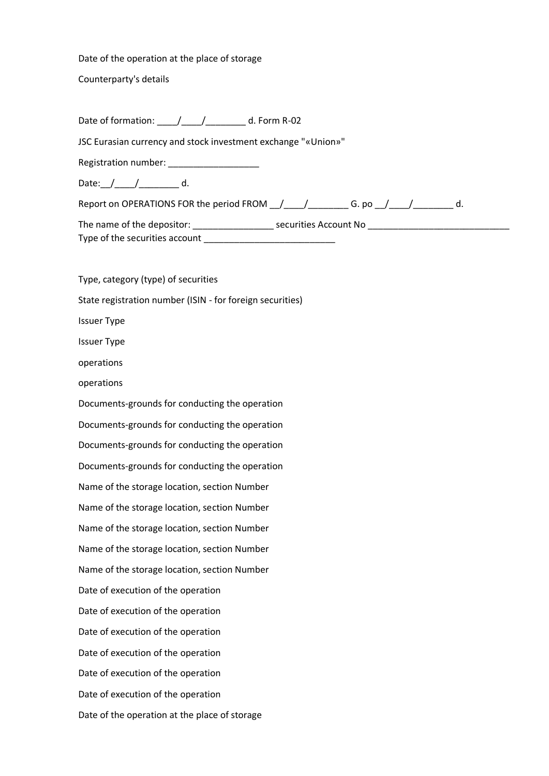Date of the operation at the place of storage

Counterparty's details

Date of formation: \_\_\_\_/\_\_\_\_/\_\_\_\_\_\_\_\_ d. Form R-02

JSC Eurasian currency and stock investment exchange "«Union»"

Registration number: \_\_\_\_\_\_\_\_\_\_\_\_\_\_\_\_\_\_

Date: $\frac{1}{2}$  d.

Report on OPERATIONS FOR the period FROM \_\_/\_\_\_\_/\_\_\_\_\_\_\_\_\_ G. po \_\_/\_\_\_\_/\_\_\_\_\_\_\_\_ d.

The name of the depositor: \_\_\_\_\_\_\_\_\_\_\_\_\_\_\_\_ securities Account No \_\_\_\_\_\_\_\_\_\_\_\_\_\_\_\_\_\_\_\_\_\_\_\_\_\_\_\_ Type of the securities account

Type, category (type) of securities State registration number (ISIN - for foreign securities) Issuer Type Issuer Type operations operations Documents-grounds for conducting the operation Documents-grounds for conducting the operation Documents-grounds for conducting the operation Documents-grounds for conducting the operation Name of the storage location, section Number Name of the storage location, section Number Name of the storage location, section Number Name of the storage location, section Number Name of the storage location, section Number Date of execution of the operation Date of execution of the operation Date of execution of the operation Date of execution of the operation Date of execution of the operation Date of execution of the operation Date of the operation at the place of storage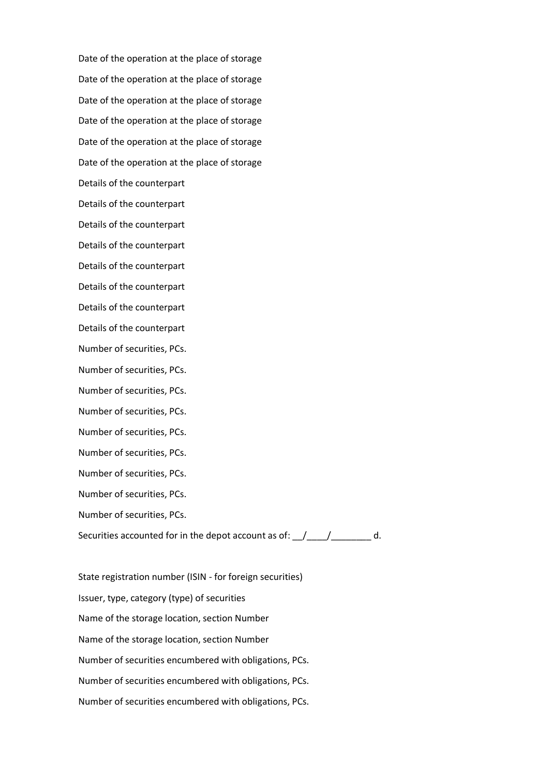Date of the operation at the place of storage Date of the operation at the place of storage Date of the operation at the place of storage Date of the operation at the place of storage Date of the operation at the place of storage Date of the operation at the place of storage Details of the counterpart Details of the counterpart Details of the counterpart Details of the counterpart Details of the counterpart Details of the counterpart Details of the counterpart Details of the counterpart Number of securities, PCs. Number of securities, PCs. Number of securities, PCs. Number of securities, PCs. Number of securities, PCs. Number of securities, PCs. Number of securities, PCs. Number of securities, PCs. Number of securities, PCs. Securities accounted for in the depot account as of:  $\frac{1}{\frac{1}{2}}$   $\frac{1}{\frac{1}{2}}$  d.

State registration number (ISIN - for foreign securities) Issuer, type, category (type) of securities Name of the storage location, section Number Name of the storage location, section Number Number of securities encumbered with obligations, PCs. Number of securities encumbered with obligations, PCs. Number of securities encumbered with obligations, PCs.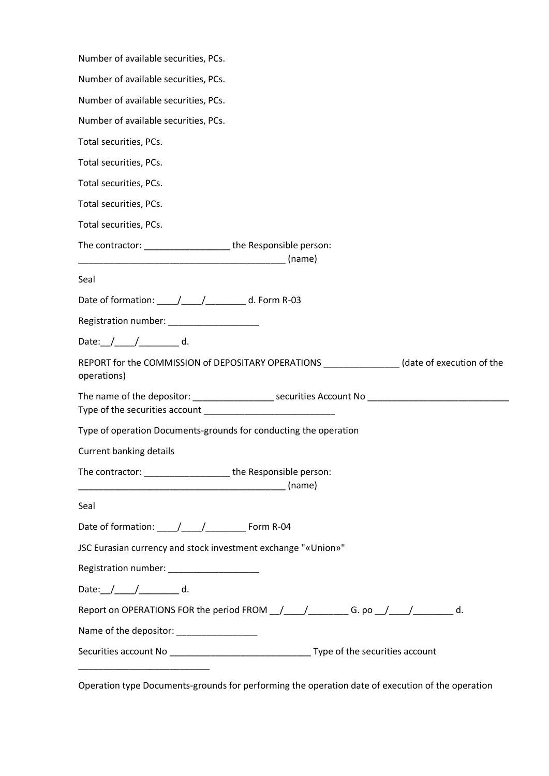| Number of available securities, PCs.                                                                      |
|-----------------------------------------------------------------------------------------------------------|
| Number of available securities, PCs.                                                                      |
| Number of available securities, PCs.                                                                      |
| Number of available securities, PCs.                                                                      |
| Total securities, PCs.                                                                                    |
| Total securities, PCs.                                                                                    |
| Total securities, PCs.                                                                                    |
| Total securities, PCs.                                                                                    |
| Total securities, PCs.                                                                                    |
| The contractor: __________________________the Responsible person:                                         |
| (name)                                                                                                    |
| Seal                                                                                                      |
| Date of formation: _____/_____/___________ d. Form R-03                                                   |
| Registration number: _____________________                                                                |
| Date: $/$ $/$ $/$ $/$ $/$ $/$ $/$ $/$ $d.$                                                                |
| REPORT for the COMMISSION of DEPOSITARY OPERATIONS ______________(date of execution of the<br>operations) |
|                                                                                                           |
| Type of operation Documents-grounds for conducting the operation                                          |
| Current banking details                                                                                   |
| The contractor: _________________________the Responsible person:                                          |
| Seal                                                                                                      |
|                                                                                                           |
| JSC Eurasian currency and stock investment exchange "«Union»"                                             |
| Registration number: _____________________                                                                |
| Date: $\angle$ $\angle$ $\angle$ $\angle$ $\angle$ $\angle$ d.                                            |
| Report on OPERATIONS FOR the period FROM __/____/__________G. po __/____/_________ d.                     |
| Name of the depositor: __________________                                                                 |
|                                                                                                           |
|                                                                                                           |

Operation type Documents-grounds for performing the operation date of execution of the operation